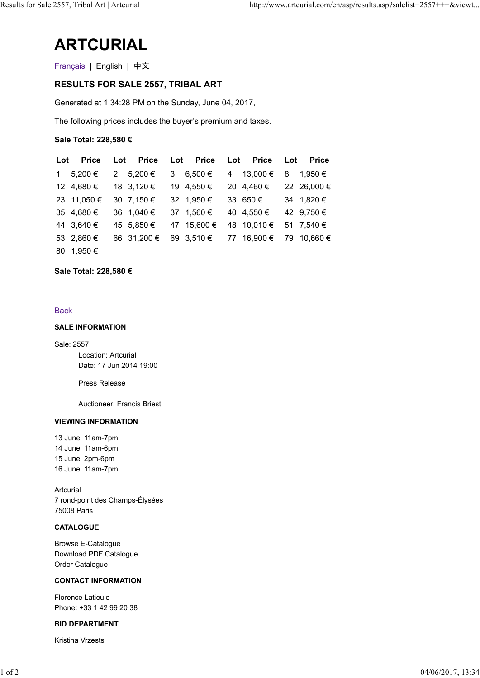# ARTCURIAL

## RESULTS FOR SALE 2557, TRIBAL ART

|                                                              |                                     |                             | http://www.artcurial.com/en/asp/results.asp?salelist=2557+++&viewt |  |
|--------------------------------------------------------------|-------------------------------------|-----------------------------|--------------------------------------------------------------------|--|
| <b>ARTCURIAL</b>                                             |                                     |                             |                                                                    |  |
| Français   English   中文                                      |                                     |                             |                                                                    |  |
| <b>RESULTS FOR SALE 2557, TRIBAL ART</b>                     |                                     |                             |                                                                    |  |
| Generated at 1:34:28 PM on the Sunday, June 04, 2017,        |                                     |                             |                                                                    |  |
| The following prices includes the buyer's premium and taxes. |                                     |                             |                                                                    |  |
|                                                              |                                     |                             |                                                                    |  |
| Sale Total: 228,580 €                                        |                                     |                             |                                                                    |  |
| <b>Price</b><br>Lot<br>Lot                                   | <b>Price</b><br><b>Price</b><br>Lot | <b>Price</b><br>Lot         | <b>Price</b><br>Lot                                                |  |
| 5,200 €<br>2 5,200 €<br>$1 -$                                | 3 $6,500 \in$                       | 13,000 €<br>$4\overline{ }$ | 1,950 €<br>8                                                       |  |
| 12 4,680 €<br>18 3,120 €                                     | 19 4,550 €                          | 20 4,460 €                  | 22 26,000 €                                                        |  |
| 23 11,050 €<br>30 7,150 €<br>35 4,680 €<br>36 1,040 €        | 32 1,950 €<br>37 1,560 €            | 33 650 €<br>40 4,550 €      | 34 1,820 €<br>42 9,750 €                                           |  |
| 44 3,640 €<br>45 5,850 €                                     | 47 15,600 €                         | 48 10,010 €                 | 51 7,540 €                                                         |  |
| 66 31,200 €<br>53 2,860 €                                    | 69 3,510 €                          | 77 16,900 €                 | 79 10,660 €                                                        |  |
|                                                              |                                     |                             |                                                                    |  |

### **Back**

### SALE INFORMATION

Sale: 2557 Location: Artcurial Date: 17 Jun 2014 19:00

Press Release

Auctioneer: Francis Briest

## VIEWING INFORMATION

13 June, 11am-7pm 14 June, 11am-6pm 15 June, 2pm-6pm 16 June, 11am-7pm

Artcurial 7 rond-point des Champs-Élysées 75008 Paris 16 June, 11am-7pm<br>
Artcurial<br>
7 rond-point des Champs-Élysées<br>
7508 Paris<br> **CATALOGUE**<br>
Browse E-Catalogue<br>
Download PDF Catalogue<br>
Order Catalogue<br>
CONTACT INFORMATION<br>
Ficence Lataie<br>
Phone: +33 142 99 20 38<br> **BID DEPART** 

## **CATALOGUE**

Browse E-Catalogue Download PDF Catalogue Order Catalogue

### CONTACT INFORMATION

Florence Latieule Phone: +33 1 42 99 20 38

### BID DEPARTMENT

Kristina Vrzests